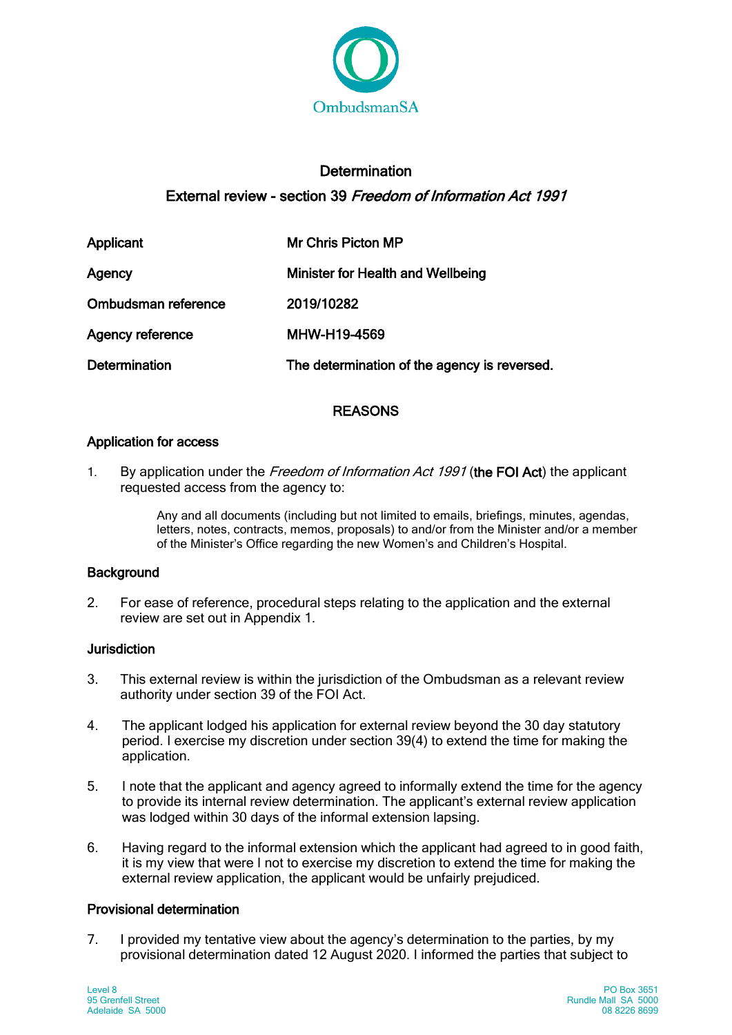

# **Determination** External review - section 39 Freedom of Information Act 1991

| Applicant               | Mr Chris Picton MP                           |
|-------------------------|----------------------------------------------|
| Agency                  | <b>Minister for Health and Wellbeing</b>     |
| Ombudsman reference     | 2019/10282                                   |
| <b>Agency reference</b> | MHW-H19-4569                                 |
| <b>Determination</b>    | The determination of the agency is reversed. |

# REASONS

### Application for access

1. By application under the Freedom of Information Act 1991 (the FOI Act) the applicant requested access from the agency to:

> Any and all documents (including but not limited to emails, briefings, minutes, agendas, letters, notes, contracts, memos, proposals) to and/or from the Minister and/or a member of the Minister's Office regarding the new Women's and Children's Hospital.

# **Background**

2. For ease of reference, procedural steps relating to the application and the external review are set out in Appendix 1.

# **Jurisdiction**

- 3. This external review is within the jurisdiction of the Ombudsman as a relevant review authority under section 39 of the FOI Act.
- 4. The applicant lodged his application for external review beyond the 30 day statutory period. I exercise my discretion under section 39(4) to extend the time for making the application.
- 5. I note that the applicant and agency agreed to informally extend the time for the agency to provide its internal review determination. The applicant's external review application was lodged within 30 days of the informal extension lapsing.
- 6. Having regard to the informal extension which the applicant had agreed to in good faith, it is my view that were I not to exercise my discretion to extend the time for making the external review application, the applicant would be unfairly prejudiced.

# Provisional determination

7. I provided my tentative view about the agency's determination to the parties, by my provisional determination dated 12 August 2020. I informed the parties that subject to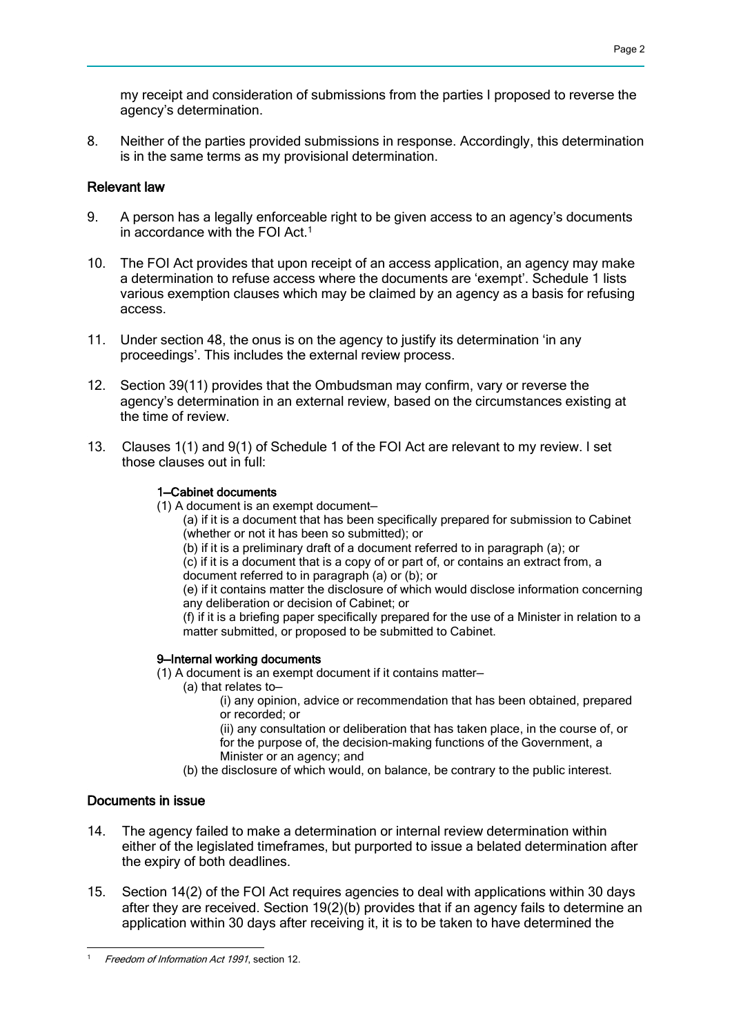my receipt and consideration of submissions from the parties I proposed to reverse the agency's determination.

8. Neither of the parties provided submissions in response. Accordingly, this determination is in the same terms as my provisional determination.

### Relevant law

- 9. A person has a legally enforceable right to be given access to an agency's documents in accordance with the FOI Act.<sup>1</sup>
- 10. The FOI Act provides that upon receipt of an access application, an agency may make a determination to refuse access where the documents are 'exempt'. Schedule 1 lists various exemption clauses which may be claimed by an agency as a basis for refusing access.
- 11. Under section 48, the onus is on the agency to justify its determination 'in any proceedings'. This includes the external review process.
- 12. Section 39(11) provides that the Ombudsman may confirm, vary or reverse the agency's determination in an external review, based on the circumstances existing at the time of review.
- 13. Clauses 1(1) and 9(1) of Schedule 1 of the FOI Act are relevant to my review. I set those clauses out in full:

### 1—Cabinet documents

- (1) A document is an exempt document—
	- (a) if it is a document that has been specifically prepared for submission to Cabinet (whether or not it has been so submitted); or
	- (b) if it is a preliminary draft of a document referred to in paragraph (a); or

(c) if it is a document that is a copy of or part of, or contains an extract from, a document referred to in paragraph (a) or (b); or

(e) if it contains matter the disclosure of which would disclose information concerning any deliberation or decision of Cabinet; or

(f) if it is a briefing paper specifically prepared for the use of a Minister in relation to a matter submitted, or proposed to be submitted to Cabinet.

#### 9—Internal working documents

(1) A document is an exempt document if it contains matter—

(a) that relates to—

(i) any opinion, advice or recommendation that has been obtained, prepared or recorded; or

(ii) any consultation or deliberation that has taken place, in the course of, or for the purpose of, the decision-making functions of the Government, a Minister or an agency; and

(b) the disclosure of which would, on balance, be contrary to the public interest.

## Documents in issue

- 14. The agency failed to make a determination or internal review determination within either of the legislated timeframes, but purported to issue a belated determination after the expiry of both deadlines.
- 15. Section 14(2) of the FOI Act requires agencies to deal with applications within 30 days after they are received. Section 19(2)(b) provides that if an agency fails to determine an application within 30 days after receiving it, it is to be taken to have determined the

<sup>-</sup>Freedom of Information Act 1991, section 12.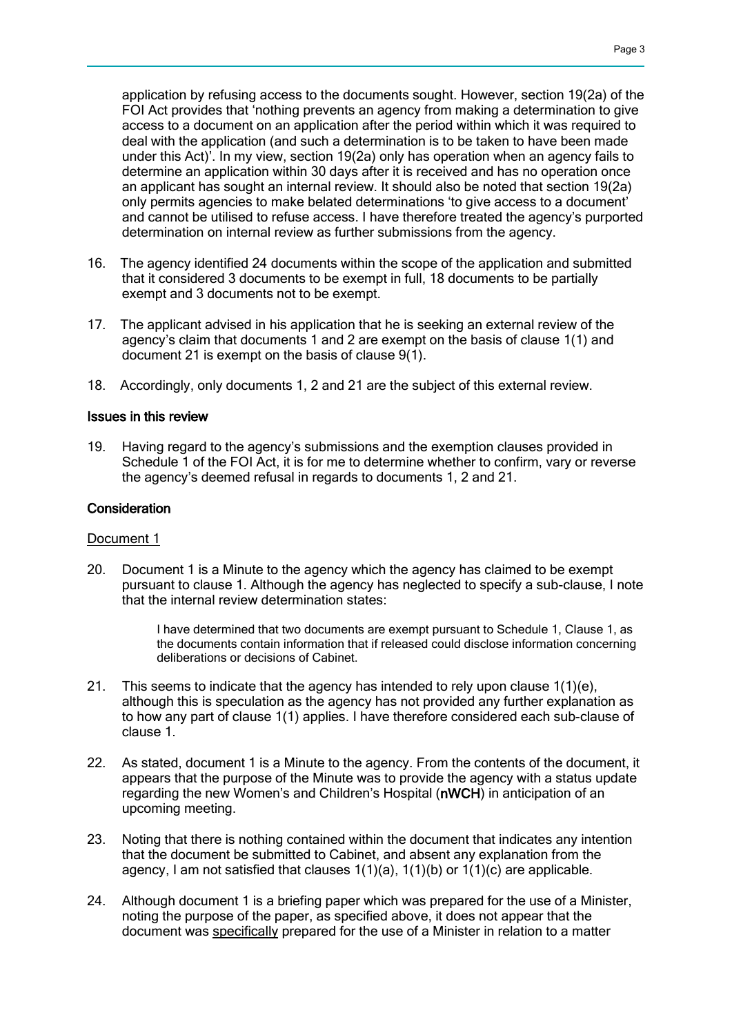application by refusing access to the documents sought. However, section 19(2a) of the FOI Act provides that 'nothing prevents an agency from making a determination to give access to a document on an application after the period within which it was required to deal with the application (and such a determination is to be taken to have been made under this Act)'. In my view, section 19(2a) only has operation when an agency fails to determine an application within 30 days after it is received and has no operation once an applicant has sought an internal review. It should also be noted that section 19(2a) only permits agencies to make belated determinations 'to give access to a document' and cannot be utilised to refuse access. I have therefore treated the agency's purported determination on internal review as further submissions from the agency.

- 16. The agency identified 24 documents within the scope of the application and submitted that it considered 3 documents to be exempt in full, 18 documents to be partially exempt and 3 documents not to be exempt.
- 17. The applicant advised in his application that he is seeking an external review of the agency's claim that documents 1 and 2 are exempt on the basis of clause 1(1) and document 21 is exempt on the basis of clause 9(1).
- 18. Accordingly, only documents 1, 2 and 21 are the subject of this external review.

#### Issues in this review

19. Having regard to the agency's submissions and the exemption clauses provided in Schedule 1 of the FOI Act, it is for me to determine whether to confirm, vary or reverse the agency's deemed refusal in regards to documents 1, 2 and 21.

#### **Consideration**

#### Document 1

20. Document 1 is a Minute to the agency which the agency has claimed to be exempt pursuant to clause 1. Although the agency has neglected to specify a sub-clause, I note that the internal review determination states:

> I have determined that two documents are exempt pursuant to Schedule 1, Clause 1, as the documents contain information that if released could disclose information concerning deliberations or decisions of Cabinet.

- 21. This seems to indicate that the agency has intended to rely upon clause  $1(1)(e)$ , although this is speculation as the agency has not provided any further explanation as to how any part of clause 1(1) applies. I have therefore considered each sub-clause of clause 1.
- 22. As stated, document 1 is a Minute to the agency. From the contents of the document, it appears that the purpose of the Minute was to provide the agency with a status update regarding the new Women's and Children's Hospital (nWCH) in anticipation of an upcoming meeting.
- 23. Noting that there is nothing contained within the document that indicates any intention that the document be submitted to Cabinet, and absent any explanation from the agency, I am not satisfied that clauses  $1(1)(a)$ ,  $1(1)(b)$  or  $1(1)(c)$  are applicable.
- 24. Although document 1 is a briefing paper which was prepared for the use of a Minister, noting the purpose of the paper, as specified above, it does not appear that the document was specifically prepared for the use of a Minister in relation to a matter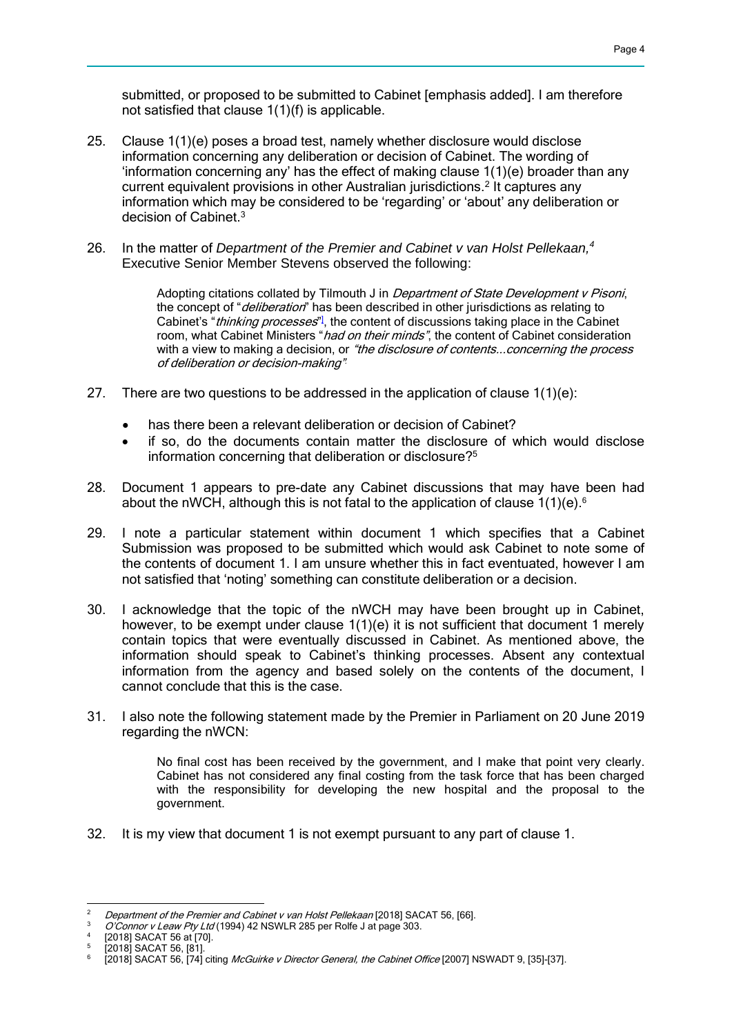submitted, or proposed to be submitted to Cabinet [emphasis added]. I am therefore not satisfied that clause 1(1)(f) is applicable.

- 25. Clause 1(1)(e) poses a broad test, namely whether disclosure would disclose information concerning any deliberation or decision of Cabinet. The wording of 'information concerning any' has the effect of making clause  $1(1)(e)$  broader than any current equivalent provisions in other Australian jurisdictions.2 It captures any information which may be considered to be 'regarding' or 'about' any deliberation or decision of Cabinet.3
- 26. In the matter of *Department of the Premier and Cabinet v van Holst Pellekaan,4* Executive Senior Member Stevens observed the following:

Adopting citations collated by Tilmouth J in *Department of State Development v Pisoni*. the concept of "*deliberation*" has been described in other jurisdictions as relating to Cabinet's "*thinking processes*"<sup>]</sup>, the content of discussions taking place in the Cabinet room, what Cabinet Ministers "had on their minds", the content of Cabinet consideration with a view to making a decision, or "the disclosure of contents... concerning the process of deliberation or decision-making".

- 27. There are two questions to be addressed in the application of clause  $1(1)(e)$ :
	- has there been a relevant deliberation or decision of Cabinet?
	- if so, do the documents contain matter the disclosure of which would disclose information concerning that deliberation or disclosure?5
- 28. Document 1 appears to pre-date any Cabinet discussions that may have been had about the nWCH, although this is not fatal to the application of clause  $1(1)(e)$ .<sup>6</sup>
- 29. I note a particular statement within document 1 which specifies that a Cabinet Submission was proposed to be submitted which would ask Cabinet to note some of the contents of document 1. I am unsure whether this in fact eventuated, however I am not satisfied that 'noting' something can constitute deliberation or a decision.
- 30. I acknowledge that the topic of the nWCH may have been brought up in Cabinet, however, to be exempt under clause 1(1)(e) it is not sufficient that document 1 merely contain topics that were eventually discussed in Cabinet. As mentioned above, the information should speak to Cabinet's thinking processes. Absent any contextual information from the agency and based solely on the contents of the document, I cannot conclude that this is the case.
- 31. I also note the following statement made by the Premier in Parliament on 20 June 2019 regarding the nWCN:

No final cost has been received by the government, and I make that point very clearly. Cabinet has not considered any final costing from the task force that has been charged with the responsibility for developing the new hospital and the proposal to the government.

32. It is my view that document 1 is not exempt pursuant to any part of clause 1.

 $\overline{2}$ 

<sup>&</sup>lt;sup>2</sup> Department of the Premier and Cabinet v van Holst Pellekaan [2018] SACAT 56, [66].<br><sup>3</sup> O'Connor v Leaw Pty Ltd (1994) 42 NSWLR 285 per Rolfe J at page 303.<br><sup>4</sup> [2018] SACAT 56 at [70].<br><sup>5</sup> [2018] SACAT 56, [81].<br><sup>6</sup> [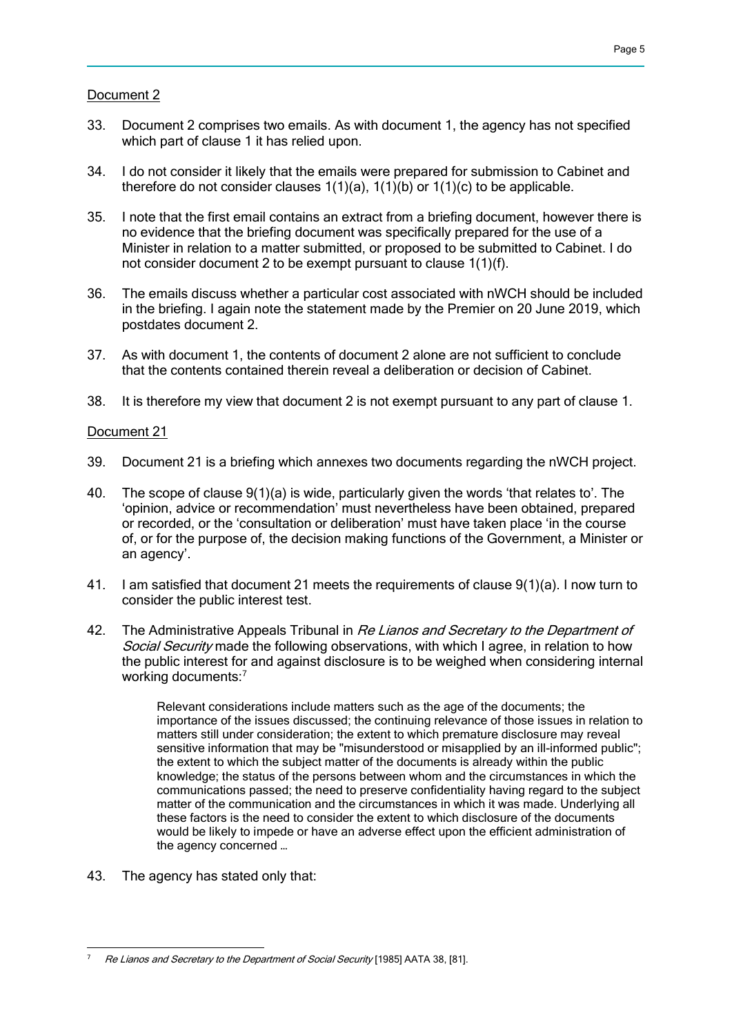### Document 2

- 33. Document 2 comprises two emails. As with document 1, the agency has not specified which part of clause 1 it has relied upon.
- 34. I do not consider it likely that the emails were prepared for submission to Cabinet and therefore do not consider clauses  $1(1)(a)$ ,  $1(1)(b)$  or  $1(1)(c)$  to be applicable.
- 35. I note that the first email contains an extract from a briefing document, however there is no evidence that the briefing document was specifically prepared for the use of a Minister in relation to a matter submitted, or proposed to be submitted to Cabinet. I do not consider document 2 to be exempt pursuant to clause 1(1)(f).
- 36. The emails discuss whether a particular cost associated with nWCH should be included in the briefing. I again note the statement made by the Premier on 20 June 2019, which postdates document 2.
- 37. As with document 1, the contents of document 2 alone are not sufficient to conclude that the contents contained therein reveal a deliberation or decision of Cabinet.
- 38. It is therefore my view that document 2 is not exempt pursuant to any part of clause 1.

#### Document 21

- 39. Document 21 is a briefing which annexes two documents regarding the nWCH project.
- 40. The scope of clause 9(1)(a) is wide, particularly given the words 'that relates to'. The 'opinion, advice or recommendation' must nevertheless have been obtained, prepared or recorded, or the 'consultation or deliberation' must have taken place 'in the course of, or for the purpose of, the decision making functions of the Government, a Minister or an agency'.
- 41. I am satisfied that document 21 meets the requirements of clause 9(1)(a). I now turn to consider the public interest test.
- 42. The Administrative Appeals Tribunal in Re Lianos and Secretary to the Department of Social Security made the following observations, with which I agree, in relation to how the public interest for and against disclosure is to be weighed when considering internal working documents:<sup>7</sup>

Relevant considerations include matters such as the age of the documents; the importance of the issues discussed; the continuing relevance of those issues in relation to matters still under consideration; the extent to which premature disclosure may reveal sensitive information that may be "misunderstood or misapplied by an ill-informed public"; the extent to which the subject matter of the documents is already within the public knowledge; the status of the persons between whom and the circumstances in which the communications passed; the need to preserve confidentiality having regard to the subject matter of the communication and the circumstances in which it was made. Underlying all these factors is the need to consider the extent to which disclosure of the documents would be likely to impede or have an adverse effect upon the efficient administration of the agency concerned …

43. The agency has stated only that:

<sup>-</sup>7 Re Lianos and Secretary to the Department of Social Security [1985] AATA 38, [81].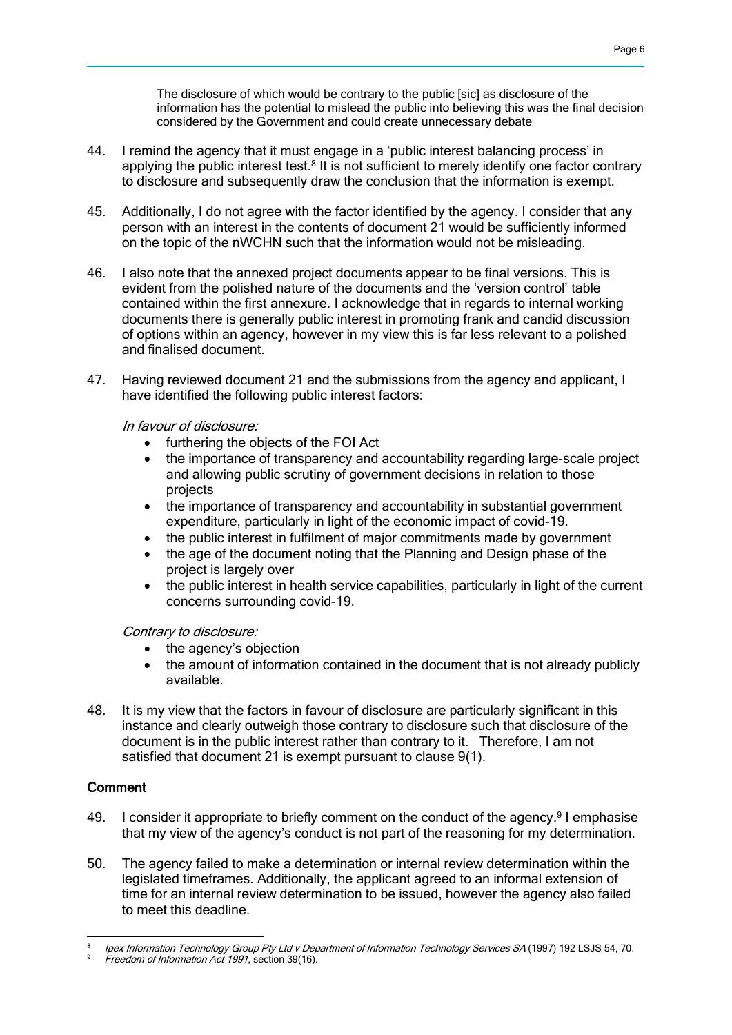The disclosure of which would be contrary to the public [sic] as disclosure of the information has the potential to mislead the public into believing this was the final decision considered by the Government and could create unnecessary debate

- 44. I remind the agency that it must engage in a 'public interest balancing process' in applying the public interest test.<sup>8</sup> It is not sufficient to merely identify one factor contrary to disclosure and subsequently draw the conclusion that the information is exempt.
- 45. Additionally, I do not agree with the factor identified by the agency. I consider that any person with an interest in the contents of document 21 would be sufficiently informed on the topic of the nWCHN such that the information would not be misleading.
- 46. I also note that the annexed project documents appear to be final versions. This is evident from the polished nature of the documents and the 'version control' table contained within the first annexure. I acknowledge that in regards to internal working documents there is generally public interest in promoting frank and candid discussion of options within an agency, however in my view this is far less relevant to a polished and finalised document.
- 47. Having reviewed document 21 and the submissions from the agency and applicant, I have identified the following public interest factors:

In favour of disclosure:

- furthering the objects of the FOI Act
- the importance of transparency and accountability regarding large-scale project and allowing public scrutiny of government decisions in relation to those projects
- the importance of transparency and accountability in substantial government expenditure, particularly in light of the economic impact of covid-19.
- the public interest in fulfilment of major commitments made by government
- the age of the document noting that the Planning and Design phase of the project is largely over
- the public interest in health service capabilities, particularly in light of the current concerns surrounding covid-19.

Contrary to disclosure:

- the agency's objection
- the amount of information contained in the document that is not already publicly available.
- 48. It is my view that the factors in favour of disclosure are particularly significant in this instance and clearly outweigh those contrary to disclosure such that disclosure of the document is in the public interest rather than contrary to it. Therefore, I am not satisfied that document 21 is exempt pursuant to clause 9(1).

### **Comment**

- 49. I consider it appropriate to briefly comment on the conduct of the agency.<sup>9</sup> I emphasise that my view of the agency's conduct is not part of the reasoning for my determination.
- 50. The agency failed to make a determination or internal review determination within the legislated timeframes. Additionally, the applicant agreed to an informal extension of time for an internal review determination to be issued, however the agency also failed to meet this deadline.

<sup>-</sup><sup>8</sup> Ipex Information Technology Group Pty Ltd v Department of Information Technology Services SA (1997) 192 LSJS 54, 70.

<sup>&</sup>lt;sup>9</sup> Freedom of Information Act 1991, section 39(16).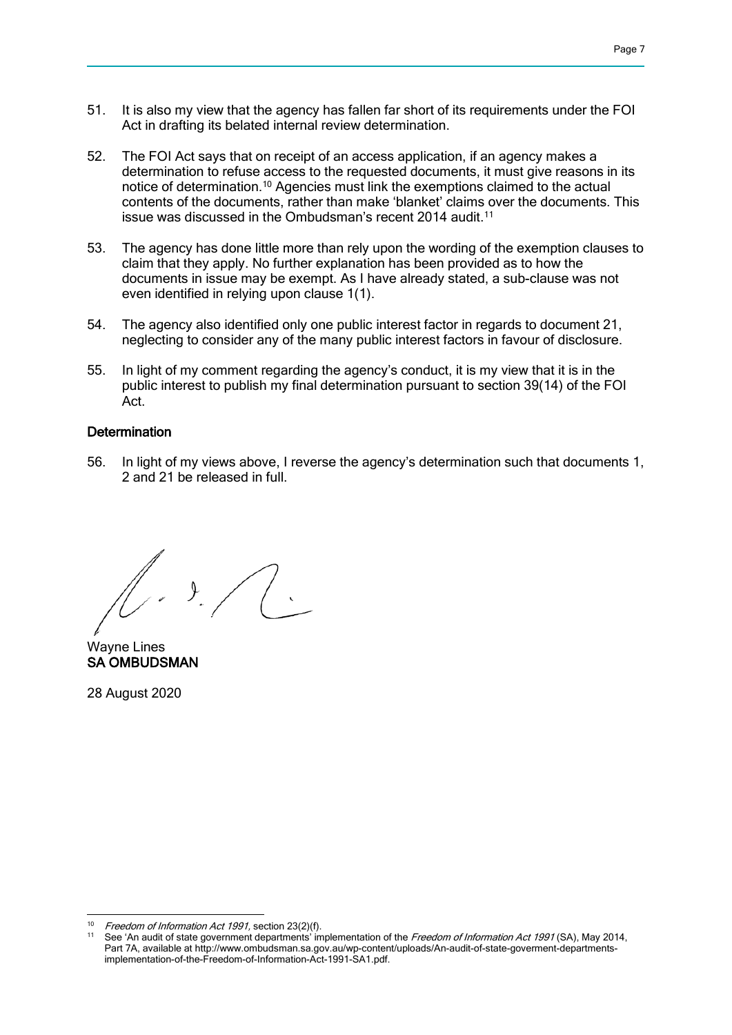- 51. It is also my view that the agency has fallen far short of its requirements under the FOI Act in drafting its belated internal review determination.
- 52. The FOI Act says that on receipt of an access application, if an agency makes a determination to refuse access to the requested documents, it must give reasons in its notice of determination.10 Agencies must link the exemptions claimed to the actual contents of the documents, rather than make 'blanket' claims over the documents. This issue was discussed in the Ombudsman's recent 2014 audit.<sup>11</sup>
- 53. The agency has done little more than rely upon the wording of the exemption clauses to claim that they apply. No further explanation has been provided as to how the documents in issue may be exempt. As I have already stated, a sub-clause was not even identified in relying upon clause 1(1).
- 54. The agency also identified only one public interest factor in regards to document 21, neglecting to consider any of the many public interest factors in favour of disclosure.
- 55. In light of my comment regarding the agency's conduct, it is my view that it is in the public interest to publish my final determination pursuant to section 39(14) of the FOI Act.

### **Determination**

56. In light of my views above, I reverse the agency's determination such that documents 1, 2 and 21 be released in full.

 $\bigwedge$ 

Wayne Lines SA OMBUDSMAN

28 August 2020

<sup>-</sup>Freedom of Information Act 1991, section 23(2)(f).

See 'An audit of state government departments' implementation of the Freedom of Information Act 1991 (SA), May 2014, Part 7A, available at http://www.ombudsman.sa.gov.au/wp-content/uploads/An-audit-of-state-goverment-departmentsimplementation-of-the-Freedom-of-Information-Act-1991-SA1.pdf.